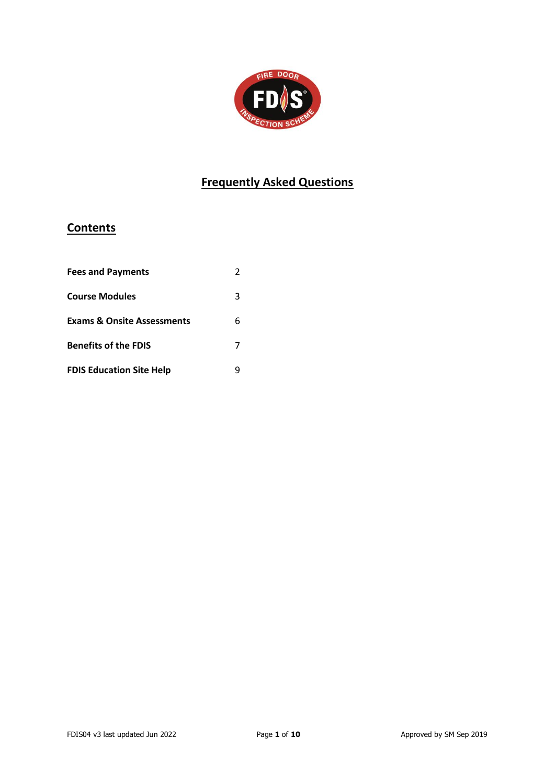

## **Frequently Asked Questions**

## **Contents**

| <b>Fees and Payments</b>              |   |
|---------------------------------------|---|
| <b>Course Modules</b>                 | 3 |
| <b>Exams &amp; Onsite Assessments</b> | 6 |
| <b>Benefits of the FDIS</b>           |   |
| <b>FDIS Education Site Help</b>       |   |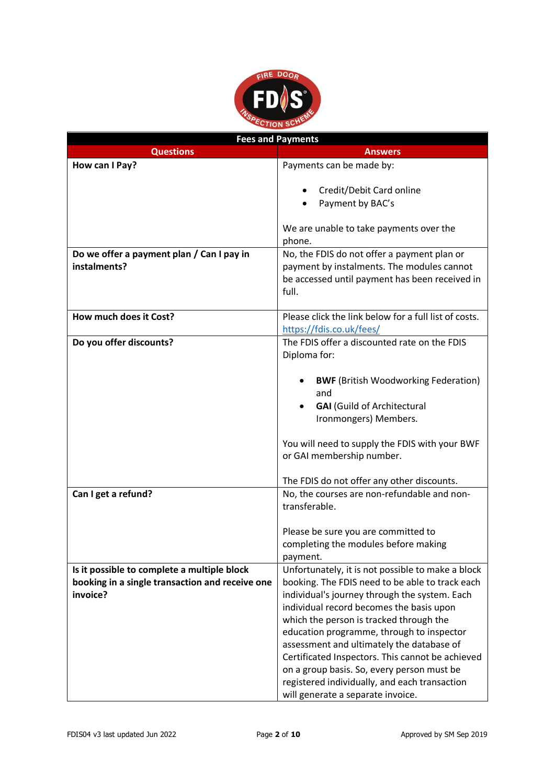

| <b>Fees and Payments</b>                        |                                                       |
|-------------------------------------------------|-------------------------------------------------------|
| <b>Questions</b>                                | <b>Answers</b>                                        |
| How can I Pay?                                  | Payments can be made by:                              |
|                                                 |                                                       |
|                                                 | Credit/Debit Card online                              |
|                                                 | Payment by BAC's                                      |
|                                                 |                                                       |
|                                                 | We are unable to take payments over the               |
|                                                 | phone.                                                |
| Do we offer a payment plan / Can I pay in       | No, the FDIS do not offer a payment plan or           |
| instalments?                                    | payment by instalments. The modules cannot            |
|                                                 | be accessed until payment has been received in        |
|                                                 | full.                                                 |
|                                                 |                                                       |
| How much does it Cost?                          | Please click the link below for a full list of costs. |
|                                                 | https://fdis.co.uk/fees/                              |
| Do you offer discounts?                         | The FDIS offer a discounted rate on the FDIS          |
|                                                 | Diploma for:                                          |
|                                                 |                                                       |
|                                                 | <b>BWF</b> (British Woodworking Federation)           |
|                                                 | and                                                   |
|                                                 | <b>GAI</b> (Guild of Architectural                    |
|                                                 | Ironmongers) Members.                                 |
|                                                 |                                                       |
|                                                 | You will need to supply the FDIS with your BWF        |
|                                                 | or GAI membership number.                             |
|                                                 |                                                       |
|                                                 | The FDIS do not offer any other discounts.            |
| Can I get a refund?                             | No, the courses are non-refundable and non-           |
|                                                 | transferable.                                         |
|                                                 |                                                       |
|                                                 | Please be sure you are committed to                   |
|                                                 | completing the modules before making                  |
|                                                 | payment.                                              |
| Is it possible to complete a multiple block     | Unfortunately, it is not possible to make a block     |
| booking in a single transaction and receive one | booking. The FDIS need to be able to track each       |
| invoice?                                        | individual's journey through the system. Each         |
|                                                 | individual record becomes the basis upon              |
|                                                 | which the person is tracked through the               |
|                                                 | education programme, through to inspector             |
|                                                 | assessment and ultimately the database of             |
|                                                 | Certificated Inspectors. This cannot be achieved      |
|                                                 | on a group basis. So, every person must be            |
|                                                 | registered individually, and each transaction         |
|                                                 | will generate a separate invoice.                     |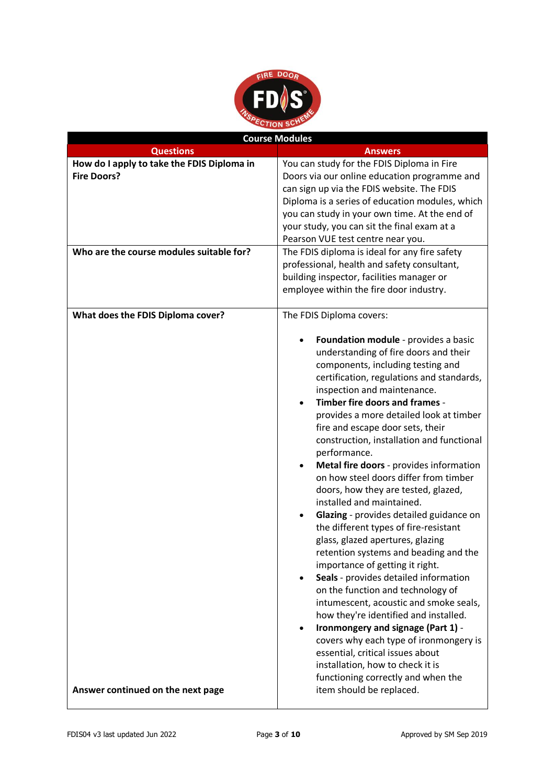

| <b>Course Modules</b>                                                                                        |                                                                                                                                                                                                                                                                                                                                                                                                                                                                                                                                                                                                                                                                                                                                                                                                                                                                                                                                                                                                                                                                                                                                          |
|--------------------------------------------------------------------------------------------------------------|------------------------------------------------------------------------------------------------------------------------------------------------------------------------------------------------------------------------------------------------------------------------------------------------------------------------------------------------------------------------------------------------------------------------------------------------------------------------------------------------------------------------------------------------------------------------------------------------------------------------------------------------------------------------------------------------------------------------------------------------------------------------------------------------------------------------------------------------------------------------------------------------------------------------------------------------------------------------------------------------------------------------------------------------------------------------------------------------------------------------------------------|
| <b>Questions</b>                                                                                             | <b>Answers</b>                                                                                                                                                                                                                                                                                                                                                                                                                                                                                                                                                                                                                                                                                                                                                                                                                                                                                                                                                                                                                                                                                                                           |
| How do I apply to take the FDIS Diploma in<br><b>Fire Doors?</b><br>Who are the course modules suitable for? | You can study for the FDIS Diploma in Fire<br>Doors via our online education programme and<br>can sign up via the FDIS website. The FDIS<br>Diploma is a series of education modules, which<br>you can study in your own time. At the end of<br>your study, you can sit the final exam at a<br>Pearson VUE test centre near you.<br>The FDIS diploma is ideal for any fire safety<br>professional, health and safety consultant,                                                                                                                                                                                                                                                                                                                                                                                                                                                                                                                                                                                                                                                                                                         |
|                                                                                                              | building inspector, facilities manager or<br>employee within the fire door industry.                                                                                                                                                                                                                                                                                                                                                                                                                                                                                                                                                                                                                                                                                                                                                                                                                                                                                                                                                                                                                                                     |
| What does the FDIS Diploma cover?                                                                            | The FDIS Diploma covers:<br>Foundation module - provides a basic<br>understanding of fire doors and their<br>components, including testing and<br>certification, regulations and standards,<br>inspection and maintenance.<br>Timber fire doors and frames -<br>provides a more detailed look at timber<br>fire and escape door sets, their<br>construction, installation and functional<br>performance.<br>Metal fire doors - provides information<br>on how steel doors differ from timber<br>doors, how they are tested, glazed,<br>installed and maintained.<br>Glazing - provides detailed guidance on<br>the different types of fire-resistant<br>glass, glazed apertures, glazing<br>retention systems and beading and the<br>importance of getting it right.<br>Seals - provides detailed information<br>on the function and technology of<br>intumescent, acoustic and smoke seals,<br>how they're identified and installed.<br>Ironmongery and signage (Part 1) -<br>٠<br>covers why each type of ironmongery is<br>essential, critical issues about<br>installation, how to check it is<br>functioning correctly and when the |
| Answer continued on the next page                                                                            | item should be replaced.                                                                                                                                                                                                                                                                                                                                                                                                                                                                                                                                                                                                                                                                                                                                                                                                                                                                                                                                                                                                                                                                                                                 |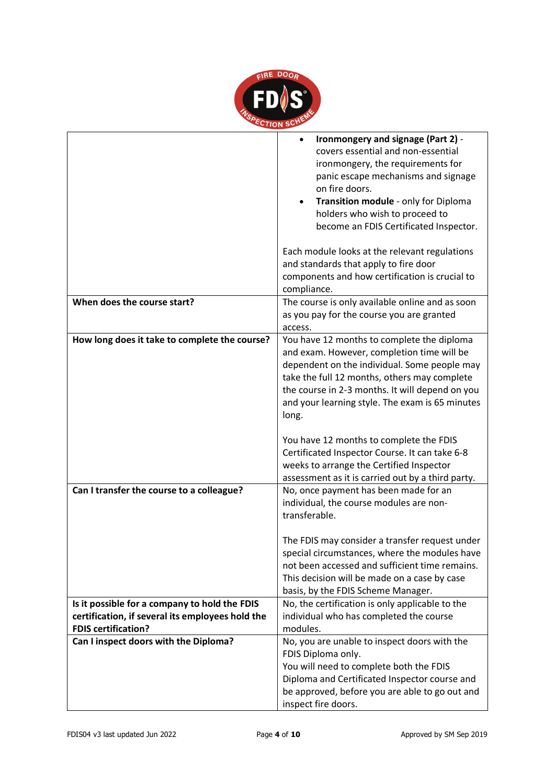

|                                                                                                                                 | Ironmongery and signage (Part 2) -<br>covers essential and non-essential<br>ironmongery, the requirements for<br>panic escape mechanisms and signage<br>on fire doors.<br>Transition module - only for Diploma<br>holders who wish to proceed to<br>become an FDIS Certificated Inspector.              |
|---------------------------------------------------------------------------------------------------------------------------------|---------------------------------------------------------------------------------------------------------------------------------------------------------------------------------------------------------------------------------------------------------------------------------------------------------|
|                                                                                                                                 | Each module looks at the relevant regulations<br>and standards that apply to fire door<br>components and how certification is crucial to<br>compliance.                                                                                                                                                 |
| When does the course start?                                                                                                     | The course is only available online and as soon<br>as you pay for the course you are granted<br>access.                                                                                                                                                                                                 |
| How long does it take to complete the course?                                                                                   | You have 12 months to complete the diploma<br>and exam. However, completion time will be<br>dependent on the individual. Some people may<br>take the full 12 months, others may complete<br>the course in 2-3 months. It will depend on you<br>and your learning style. The exam is 65 minutes<br>long. |
|                                                                                                                                 | You have 12 months to complete the FDIS<br>Certificated Inspector Course. It can take 6-8<br>weeks to arrange the Certified Inspector<br>assessment as it is carried out by a third party.                                                                                                              |
| Can I transfer the course to a colleague?                                                                                       | No, once payment has been made for an<br>individual, the course modules are non-<br>transferable.                                                                                                                                                                                                       |
|                                                                                                                                 | The FDIS may consider a transfer request under<br>special circumstances, where the modules have<br>not been accessed and sufficient time remains.<br>This decision will be made on a case by case<br>basis, by the FDIS Scheme Manager.                                                                 |
| Is it possible for a company to hold the FDIS<br>certification, if several its employees hold the<br><b>FDIS certification?</b> | No, the certification is only applicable to the<br>individual who has completed the course<br>modules.                                                                                                                                                                                                  |
| Can I inspect doors with the Diploma?                                                                                           | No, you are unable to inspect doors with the<br>FDIS Diploma only.<br>You will need to complete both the FDIS<br>Diploma and Certificated Inspector course and<br>be approved, before you are able to go out and<br>inspect fire doors.                                                                 |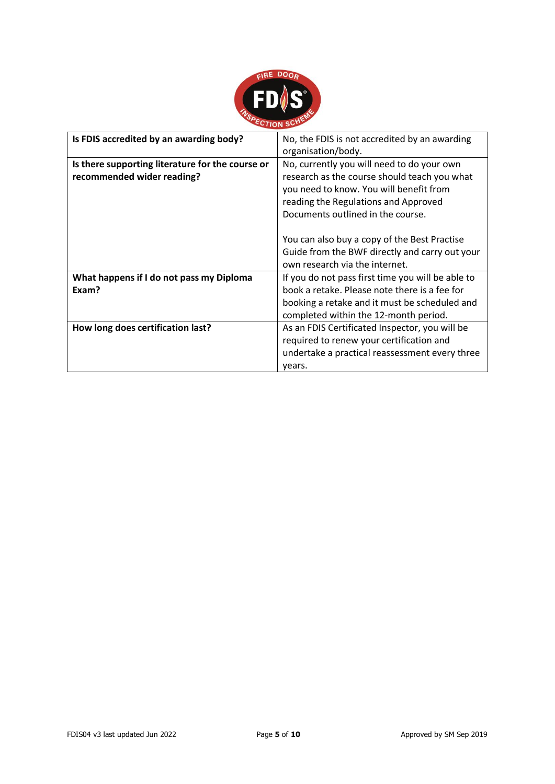

| Is FDIS accredited by an awarding body?          | No, the FDIS is not accredited by an awarding<br>organisation/body. |
|--------------------------------------------------|---------------------------------------------------------------------|
| Is there supporting literature for the course or | No, currently you will need to do your own                          |
| recommended wider reading?                       | research as the course should teach you what                        |
|                                                  | you need to know. You will benefit from                             |
|                                                  | reading the Regulations and Approved                                |
|                                                  | Documents outlined in the course.                                   |
|                                                  |                                                                     |
|                                                  | You can also buy a copy of the Best Practise                        |
|                                                  | Guide from the BWF directly and carry out your                      |
|                                                  | own research via the internet.                                      |
| What happens if I do not pass my Diploma         | If you do not pass first time you will be able to                   |
| Exam?                                            | book a retake. Please note there is a fee for                       |
|                                                  | booking a retake and it must be scheduled and                       |
|                                                  | completed within the 12-month period.                               |
| How long does certification last?                | As an FDIS Certificated Inspector, you will be                      |
|                                                  | required to renew your certification and                            |
|                                                  | undertake a practical reassessment every three                      |
|                                                  | vears.                                                              |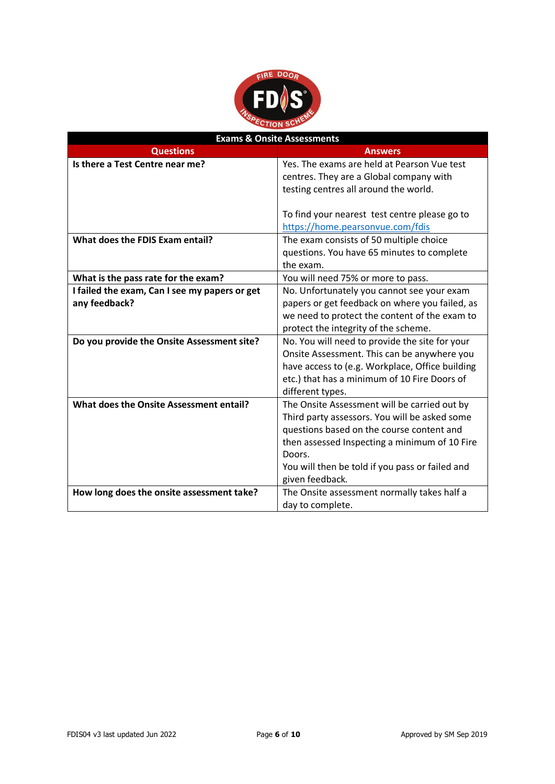

| <b>Exams &amp; Onsite Assessments</b>                          |                                                                                                                                                                                                                                                                             |
|----------------------------------------------------------------|-----------------------------------------------------------------------------------------------------------------------------------------------------------------------------------------------------------------------------------------------------------------------------|
| <b>Questions</b>                                               | <b>Answers</b>                                                                                                                                                                                                                                                              |
| Is there a Test Centre near me?                                | Yes. The exams are held at Pearson Vue test<br>centres. They are a Global company with<br>testing centres all around the world.                                                                                                                                             |
|                                                                | To find your nearest test centre please go to<br>https://home.pearsonvue.com/fdis                                                                                                                                                                                           |
| What does the FDIS Exam entail?                                | The exam consists of 50 multiple choice<br>questions. You have 65 minutes to complete<br>the exam.                                                                                                                                                                          |
| What is the pass rate for the exam?                            | You will need 75% or more to pass.                                                                                                                                                                                                                                          |
| I failed the exam, Can I see my papers or get<br>any feedback? | No. Unfortunately you cannot see your exam<br>papers or get feedback on where you failed, as<br>we need to protect the content of the exam to<br>protect the integrity of the scheme.                                                                                       |
| Do you provide the Onsite Assessment site?                     | No. You will need to provide the site for your<br>Onsite Assessment. This can be anywhere you<br>have access to (e.g. Workplace, Office building<br>etc.) that has a minimum of 10 Fire Doors of<br>different types.                                                        |
| What does the Onsite Assessment entail?                        | The Onsite Assessment will be carried out by<br>Third party assessors. You will be asked some<br>questions based on the course content and<br>then assessed Inspecting a minimum of 10 Fire<br>Doors.<br>You will then be told if you pass or failed and<br>given feedback. |
| How long does the onsite assessment take?                      | The Onsite assessment normally takes half a<br>day to complete.                                                                                                                                                                                                             |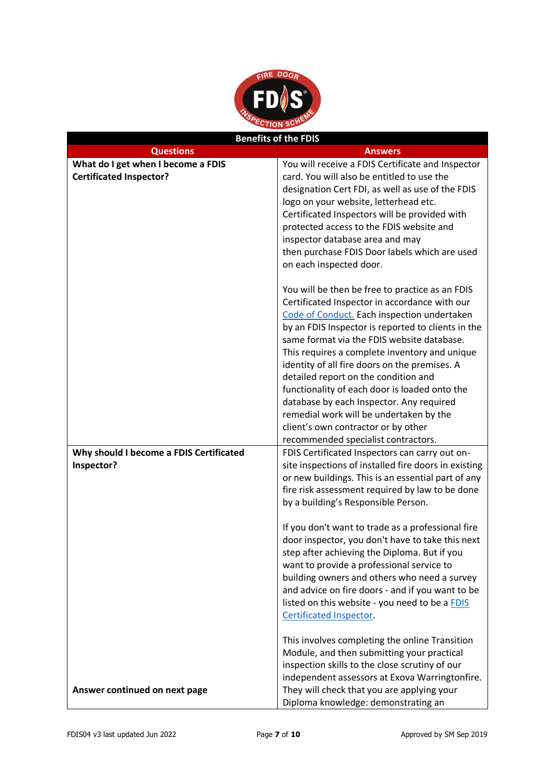

| <b>Benefits of the FDIS</b>                                          |                                                                                                 |
|----------------------------------------------------------------------|-------------------------------------------------------------------------------------------------|
| <b>Questions</b>                                                     | Answers                                                                                         |
| What do I get when I become a FDIS<br><b>Certificated Inspector?</b> | You will receive a FDIS Certificate and Inspector<br>card. You will also be entitled to use the |
|                                                                      | designation Cert FDI, as well as use of the FDIS                                                |
|                                                                      | logo on your website, letterhead etc.                                                           |
|                                                                      | Certificated Inspectors will be provided with                                                   |
|                                                                      | protected access to the FDIS website and                                                        |
|                                                                      | inspector database area and may                                                                 |
|                                                                      | then purchase FDIS Door labels which are used                                                   |
|                                                                      | on each inspected door.                                                                         |
|                                                                      | You will be then be free to practice as an FDIS                                                 |
|                                                                      | Certificated Inspector in accordance with our                                                   |
|                                                                      | Code of Conduct. Each inspection undertaken                                                     |
|                                                                      | by an FDIS Inspector is reported to clients in the                                              |
|                                                                      | same format via the FDIS website database.                                                      |
|                                                                      | This requires a complete inventory and unique<br>identity of all fire doors on the premises. A  |
|                                                                      | detailed report on the condition and                                                            |
|                                                                      | functionality of each door is loaded onto the                                                   |
|                                                                      | database by each Inspector. Any required                                                        |
|                                                                      | remedial work will be undertaken by the                                                         |
|                                                                      | client's own contractor or by other                                                             |
|                                                                      | recommended specialist contractors.                                                             |
| Why should I become a FDIS Certificated                              | FDIS Certificated Inspectors can carry out on-                                                  |
| Inspector?                                                           | site inspections of installed fire doors in existing                                            |
|                                                                      | or new buildings. This is an essential part of any                                              |
|                                                                      | fire risk assessment required by law to be done                                                 |
|                                                                      | by a building's Responsible Person.                                                             |
|                                                                      | If you don't want to trade as a professional fire                                               |
|                                                                      | door inspector, you don't have to take this next                                                |
|                                                                      | step after achieving the Diploma. But if you                                                    |
|                                                                      | want to provide a professional service to                                                       |
|                                                                      | building owners and others who need a survey                                                    |
|                                                                      | and advice on fire doors - and if you want to be                                                |
|                                                                      | listed on this website - you need to be a FDIS                                                  |
|                                                                      | Certificated Inspector.                                                                         |
|                                                                      | This involves completing the online Transition                                                  |
|                                                                      | Module, and then submitting your practical                                                      |
|                                                                      | inspection skills to the close scrutiny of our                                                  |
|                                                                      | independent assessors at Exova Warringtonfire.                                                  |
| Answer continued on next page                                        | They will check that you are applying your                                                      |
|                                                                      | Diploma knowledge: demonstrating an                                                             |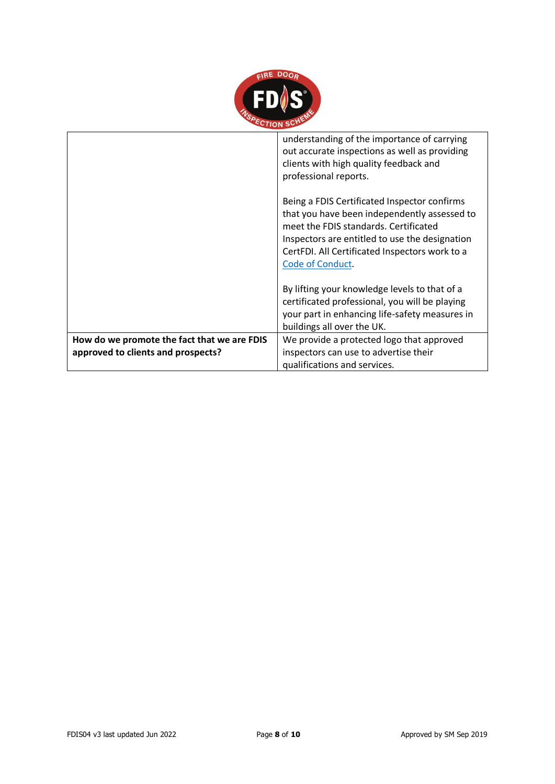

|                                                                                   | understanding of the importance of carrying<br>out accurate inspections as well as providing<br>clients with high quality feedback and<br>professional reports.                                                                                               |
|-----------------------------------------------------------------------------------|---------------------------------------------------------------------------------------------------------------------------------------------------------------------------------------------------------------------------------------------------------------|
|                                                                                   | Being a FDIS Certificated Inspector confirms<br>that you have been independently assessed to<br>meet the FDIS standards. Certificated<br>Inspectors are entitled to use the designation<br>CertFDI. All Certificated Inspectors work to a<br>Code of Conduct. |
|                                                                                   | By lifting your knowledge levels to that of a<br>certificated professional, you will be playing<br>your part in enhancing life-safety measures in<br>buildings all over the UK.                                                                               |
| How do we promote the fact that we are FDIS<br>approved to clients and prospects? | We provide a protected logo that approved<br>inspectors can use to advertise their<br>qualifications and services.                                                                                                                                            |
|                                                                                   |                                                                                                                                                                                                                                                               |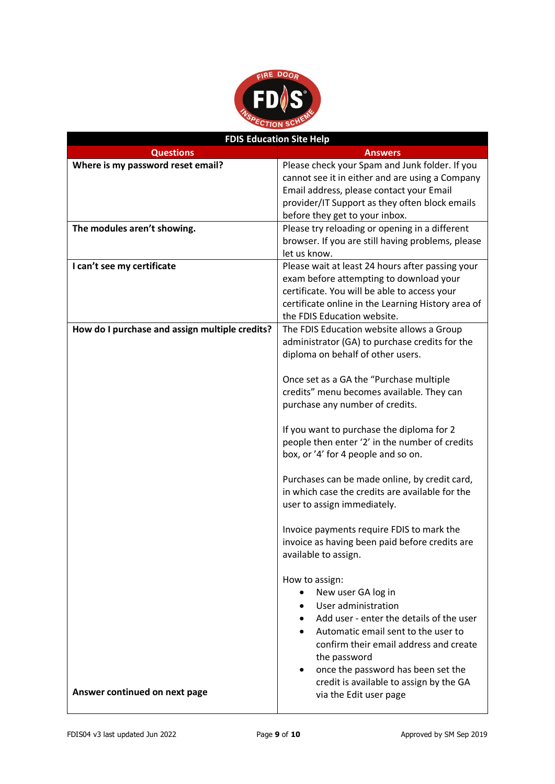

| <b>FDIS Education Site Help</b>                |                                                                                                                                                                                                                                                             |
|------------------------------------------------|-------------------------------------------------------------------------------------------------------------------------------------------------------------------------------------------------------------------------------------------------------------|
| <b>Questions</b>                               | <b>Answers</b>                                                                                                                                                                                                                                              |
| Where is my password reset email?              | Please check your Spam and Junk folder. If you<br>cannot see it in either and are using a Company<br>Email address, please contact your Email<br>provider/IT Support as they often block emails<br>before they get to your inbox.                           |
| The modules aren't showing.                    | Please try reloading or opening in a different                                                                                                                                                                                                              |
|                                                | browser. If you are still having problems, please<br>let us know.                                                                                                                                                                                           |
| I can't see my certificate                     | Please wait at least 24 hours after passing your<br>exam before attempting to download your<br>certificate. You will be able to access your<br>certificate online in the Learning History area of<br>the FDIS Education website.                            |
| How do I purchase and assign multiple credits? | The FDIS Education website allows a Group<br>administrator (GA) to purchase credits for the<br>diploma on behalf of other users.                                                                                                                            |
|                                                | Once set as a GA the "Purchase multiple<br>credits" menu becomes available. They can<br>purchase any number of credits.                                                                                                                                     |
|                                                | If you want to purchase the diploma for 2<br>people then enter '2' in the number of credits<br>box, or '4' for 4 people and so on.                                                                                                                          |
|                                                | Purchases can be made online, by credit card,<br>in which case the credits are available for the<br>user to assign immediately.                                                                                                                             |
|                                                | Invoice payments require FDIS to mark the<br>invoice as having been paid before credits are<br>available to assign.                                                                                                                                         |
|                                                | How to assign:<br>New user GA log in<br>User administration<br>Add user - enter the details of the user<br>Automatic email sent to the user to<br>confirm their email address and create<br>the password<br>once the password has been set the<br>$\bullet$ |
| Answer continued on next page                  | credit is available to assign by the GA<br>via the Edit user page                                                                                                                                                                                           |